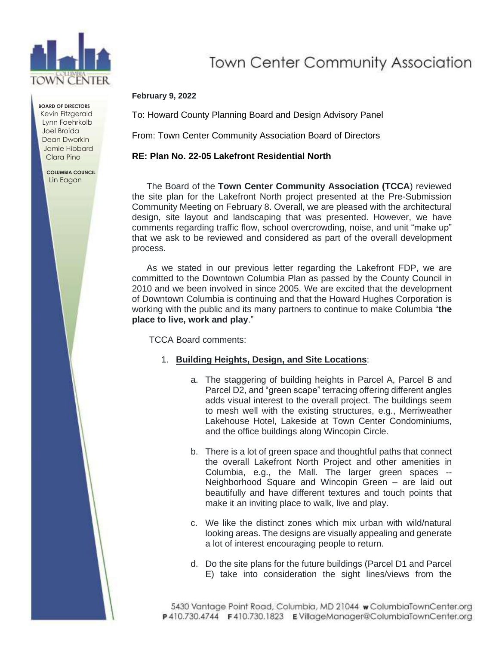

**BOARD OF DIRECTORS** Kevin Fitzgerald Lynn Foehrkolb Joel Broida Dean Dworkin Jamie Hibbard Clara Pino

> **COLUMBIA COUNCIL** Lin Eagan

# **Town Center Community Association**

#### **February 9, 2022**

To: Howard County Planning Board and Design Advisory Panel

From: Town Center Community Association Board of Directors

### **RE: Plan No. 22-05 Lakefront Residential North**

The Board of the **Town Center Community Association (TCCA**) reviewed the site plan for the Lakefront North project presented at the Pre-Submission Community Meeting on February 8. Overall, we are pleased with the architectural design, site layout and landscaping that was presented. However, we have comments regarding traffic flow, school overcrowding, noise, and unit "make up" that we ask to be reviewed and considered as part of the overall development process.

As we stated in our previous letter regarding the Lakefront FDP, we are committed to the Downtown Columbia Plan as passed by the County Council in 2010 and we been involved in since 2005. We are excited that the development of Downtown Columbia is continuing and that the Howard Hughes Corporation is working with the public and its many partners to continue to make Columbia "**the place to live, work and play**."

TCCA Board comments:

- 1. **Building Heights, Design, and Site Locations**:
	- a. The staggering of building heights in Parcel A, Parcel B and Parcel D2, and "green scape" terracing offering different angles adds visual interest to the overall project. The buildings seem to mesh well with the existing structures, e.g., Merriweather Lakehouse Hotel, Lakeside at Town Center Condominiums, and the office buildings along Wincopin Circle.
	- b. There is a lot of green space and thoughtful paths that connect the overall Lakefront North Project and other amenities in Columbia, e.g., the Mall. The larger green spaces -- Neighborhood Square and Wincopin Green – are laid out beautifully and have different textures and touch points that make it an inviting place to walk, live and play.
	- c. We like the distinct zones which mix urban with wild/natural looking areas. The designs are visually appealing and generate a lot of interest encouraging people to return.
	- d. Do the site plans for the future buildings (Parcel D1 and Parcel E) take into consideration the sight lines/views from the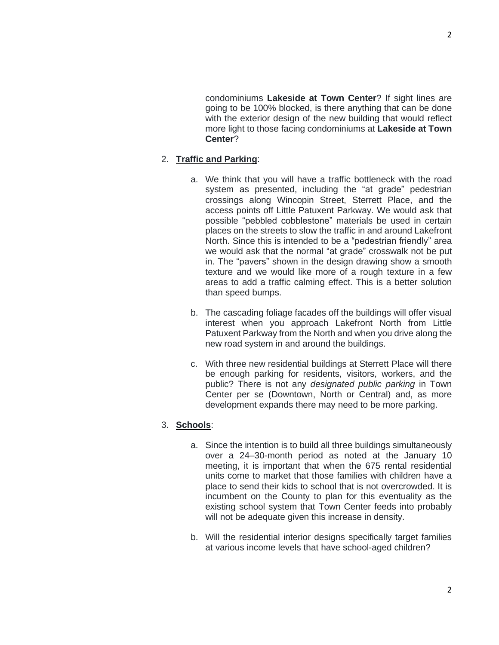condominiums **Lakeside at Town Center**? If sight lines are going to be 100% blocked, is there anything that can be done with the exterior design of the new building that would reflect more light to those facing condominiums at **Lakeside at Town Center**?

## 2. **Traffic and Parking**:

- a. We think that you will have a traffic bottleneck with the road system as presented, including the "at grade" pedestrian crossings along Wincopin Street, Sterrett Place, and the access points off Little Patuxent Parkway. We would ask that possible "pebbled cobblestone" materials be used in certain places on the streets to slow the traffic in and around Lakefront North. Since this is intended to be a "pedestrian friendly" area we would ask that the normal "at grade" crosswalk not be put in. The "pavers" shown in the design drawing show a smooth texture and we would like more of a rough texture in a few areas to add a traffic calming effect. This is a better solution than speed bumps.
- b. The cascading foliage facades off the buildings will offer visual interest when you approach Lakefront North from Little Patuxent Parkway from the North and when you drive along the new road system in and around the buildings.
- c. With three new residential buildings at Sterrett Place will there be enough parking for residents, visitors, workers, and the public? There is not any *designated public parking* in Town Center per se (Downtown, North or Central) and, as more development expands there may need to be more parking.

## 3. **Schools**:

- a. Since the intention is to build all three buildings simultaneously over a 24–30-month period as noted at the January 10 meeting, it is important that when the 675 rental residential units come to market that those families with children have a place to send their kids to school that is not overcrowded. It is incumbent on the County to plan for this eventuality as the existing school system that Town Center feeds into probably will not be adequate given this increase in density.
- b. Will the residential interior designs specifically target families at various income levels that have school-aged children?